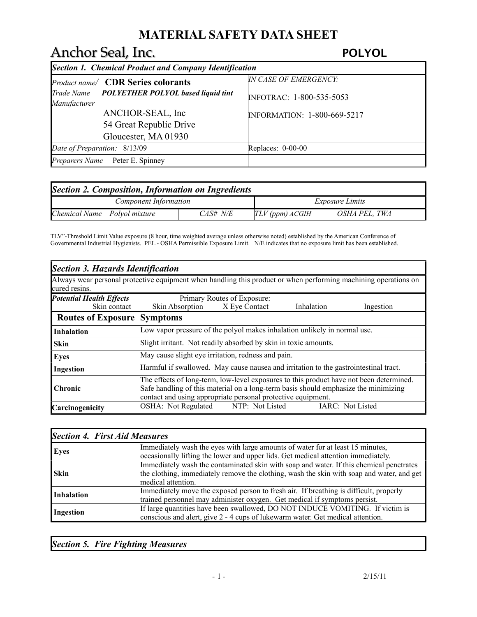# Anchor Seal, Inc. *POLYOL*

| Section 1. Chemical Product and Company Identification |                                    |  |  |
|--------------------------------------------------------|------------------------------------|--|--|
| <i>Product name</i> CDR Series colorants               | <b>IN CASE OF EMERGENCY:</b>       |  |  |
| Trade Name POLYETHER POLYOL based liquid tint          | INFOTRAC: 1-800-535-5053           |  |  |
| Manufacturer                                           |                                    |  |  |
| ANCHOR-SEAL, Inc.                                      | <b>INFORMATION: 1-800-669-5217</b> |  |  |
| 54 Great Republic Drive                                |                                    |  |  |
| Gloucester, MA 01930                                   |                                    |  |  |
| Date of Preparation: 8/13/09                           | Replaces: $0-00-00$                |  |  |
| <i>Preparers Name</i> Peter E. Spinney                 |                                    |  |  |

| Section 2. Composition, Information on Ingredients |          |                        |               |
|----------------------------------------------------|----------|------------------------|---------------|
| <b>Component Information</b>                       |          | <i>Exposure Limits</i> |               |
| Chemical Name Polyol mixture                       | CAS# N/E | $TLV$ (ppm) $ACGIH$    | OSHA PEL. TWA |

TLV"-Threshold Limit Value exposure (8 hour, time weighted average unless otherwise noted) established by the American Conference of Governmental Industrial Hygienists. PEL - OSHA Permissible Exposure Limit. N/E indicates that no exposure limit has been established.

| Section 3. Hazards Identification                                                                               |                                                                                                                                                                                                                                                |                             |            |           |
|-----------------------------------------------------------------------------------------------------------------|------------------------------------------------------------------------------------------------------------------------------------------------------------------------------------------------------------------------------------------------|-----------------------------|------------|-----------|
| Always wear personal protective equipment when handling this product or when performing machining operations on |                                                                                                                                                                                                                                                |                             |            |           |
| cured resins.                                                                                                   |                                                                                                                                                                                                                                                |                             |            |           |
| <b>Potential Health Effects</b>                                                                                 |                                                                                                                                                                                                                                                | Primary Routes of Exposure: |            |           |
| Skin contact                                                                                                    | Skin Absorption X Eye Contact                                                                                                                                                                                                                  |                             | Inhalation | Ingestion |
| <b>Routes of Exposure</b>                                                                                       | <b>Symptoms</b>                                                                                                                                                                                                                                |                             |            |           |
| <b>Inhalation</b>                                                                                               | Low vapor pressure of the polyol makes inhalation unlikely in normal use.                                                                                                                                                                      |                             |            |           |
| <b>Skin</b>                                                                                                     | Slight irritant. Not readily absorbed by skin in toxic amounts.                                                                                                                                                                                |                             |            |           |
| <b>Eyes</b>                                                                                                     | May cause slight eye irritation, redness and pain.                                                                                                                                                                                             |                             |            |           |
| <b>Ingestion</b>                                                                                                | Harmful if swallowed. May cause nausea and irritation to the gastrointestinal tract.                                                                                                                                                           |                             |            |           |
| <b>Chronic</b>                                                                                                  | The effects of long-term, low-level exposures to this product have not been determined.<br>Safe handling of this material on a long-term basis should emphasize the minimizing<br>contact and using appropriate personal protective equipment. |                             |            |           |
| Carcinogenicity                                                                                                 | OSHA: Not Regulated NTP: Not Listed<br>IARC: Not Listed                                                                                                                                                                                        |                             |            |           |

| <b>Section 4. First Aid Measures</b> |                                                                                                                                                                                                            |
|--------------------------------------|------------------------------------------------------------------------------------------------------------------------------------------------------------------------------------------------------------|
| <b>Eyes</b>                          | Immediately wash the eyes with large amounts of water for at least 15 minutes,<br>occasionally lifting the lower and upper lids. Get medical attention immediately.                                        |
| <b>Skin</b>                          | Immediately wash the contaminated skin with soap and water. If this chemical penetrates<br>the clothing, immediately remove the clothing, wash the skin with soap and water, and get<br>medical attention. |
| Inhalation                           | Immediately move the exposed person to fresh air. If breathing is difficult, properly<br>trained personnel may administer oxygen. Get medical if symptoms persist.                                         |
| Ingestion                            | If large quantities have been swallowed, DO NOT INDUCE VOMITING. If victim is<br>conscious and alert, give 2 - 4 cups of lukewarm water. Get medical attention.                                            |

*Section 5. Fire Fighting Measures*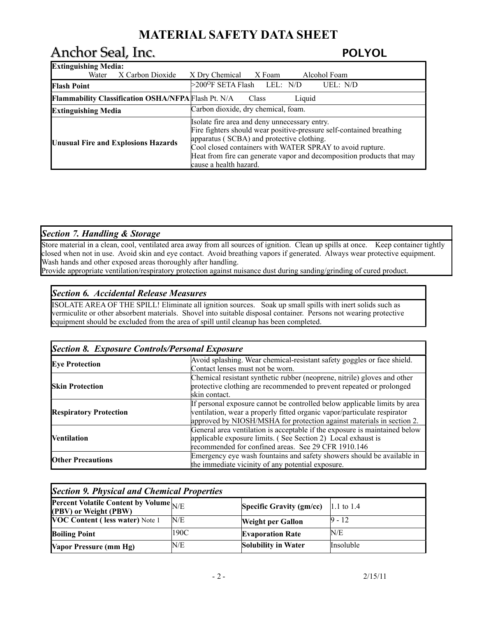# Anchor Seal, Inc. *POLYOL*

| <b>Extinguishing Media:</b>                                |                                                                                                                                                                                                                                                                                                                                    |  |  |
|------------------------------------------------------------|------------------------------------------------------------------------------------------------------------------------------------------------------------------------------------------------------------------------------------------------------------------------------------------------------------------------------------|--|--|
| X Carbon Dioxide<br>Water                                  | X Dry Chemical<br>X Foam<br>Alcohol Foam                                                                                                                                                                                                                                                                                           |  |  |
| <b>Flash Point</b>                                         | $>200^{\circ}$ F SETA Flash LEL: N/D<br>UEL: $N/D$                                                                                                                                                                                                                                                                                 |  |  |
| <b>Flammability Classification OSHA/NFPA Flash Pt. N/A</b> | Liquid<br>Class                                                                                                                                                                                                                                                                                                                    |  |  |
| <b>Extinguishing Media</b>                                 | Carbon dioxide, dry chemical, foam.                                                                                                                                                                                                                                                                                                |  |  |
| <b>Unusual Fire and Explosions Hazards</b>                 | Isolate fire area and deny unnecessary entry.<br>Fire fighters should wear positive-pressure self-contained breathing<br>apparatus (SCBA) and protective clothing.<br>Cool closed containers with WATER SPRAY to avoid rupture.<br>Heat from fire can generate vapor and decomposition products that may<br>cause a health hazard. |  |  |

## *Section 7. Handling & Storage*

Store material in a clean, cool, ventilated area away from all sources of ignition. Clean up spills at once. Keep container tightly closed when not in use. Avoid skin and eye contact. Avoid breathing vapors if generated. Always wear protective equipment. Wash hands and other exposed areas thoroughly after handling.

Provide appropriate ventilation/respiratory protection against nuisance dust during sanding/grinding of cured product.

### *Section 6. Accidental Release Measures*

ISOLATE AREA OF THE SPILL! Eliminate all ignition sources. Soak up small spills with inert solids such as vermiculite or other absorbent materials. Shovel into suitable disposal container. Persons not wearing protective equipment should be excluded from the area of spill until cleanup has been completed.

| <b>Section 8. Exposure Controls/Personal Exposure</b>                    |                                                                            |  |
|--------------------------------------------------------------------------|----------------------------------------------------------------------------|--|
| <b>Eye Protection</b>                                                    | Avoid splashing. Wear chemical-resistant safety goggles or face shield.    |  |
|                                                                          | Contact lenses must not be worn.                                           |  |
| Chemical resistant synthetic rubber (neoprene, nitrile) gloves and other |                                                                            |  |
| <b>Skin Protection</b>                                                   | protective clothing are recommended to prevent repeated or prolonged       |  |
|                                                                          | skin contact.                                                              |  |
|                                                                          | If personal exposure cannot be controlled below applicable limits by area  |  |
| <b>Respiratory Protection</b>                                            | ventilation, wear a properly fitted organic vapor/particulate respirator   |  |
|                                                                          | approved by NIOSH/MSHA for protection against materials in section 2.      |  |
|                                                                          | General area ventilation is acceptable if the exposure is maintained below |  |
| <b>Nentilation</b>                                                       | applicable exposure limits. (See Section 2) Local exhaust is               |  |
|                                                                          | recommended for confined areas. See 29 CFR 1910.146                        |  |
| <b>Other Precautions</b>                                                 | Emergency eye wash fountains and safety showers should be available in     |  |
|                                                                          | the immediate vicinity of any potential exposure.                          |  |

| <b>Section 9. Physical and Chemical Properties</b>              |      |                                 |            |
|-----------------------------------------------------------------|------|---------------------------------|------------|
| Percent Volatile Content by Volume N/E<br>(PBV) or Weight (PBW) |      | <b>Specific Gravity (gm/cc)</b> | 1.1 to 1.4 |
| <b>VOC Content (less water)</b> Note 1                          | N/E  | <b>Weight per Gallon</b>        | $9 - 12$   |
| <b>Boiling Point</b>                                            | 190C | <b>Evaporation Rate</b>         | N/E        |
| Vapor Pressure (mm Hg)                                          | N/E  | <b>Solubility in Water</b>      | Insoluble  |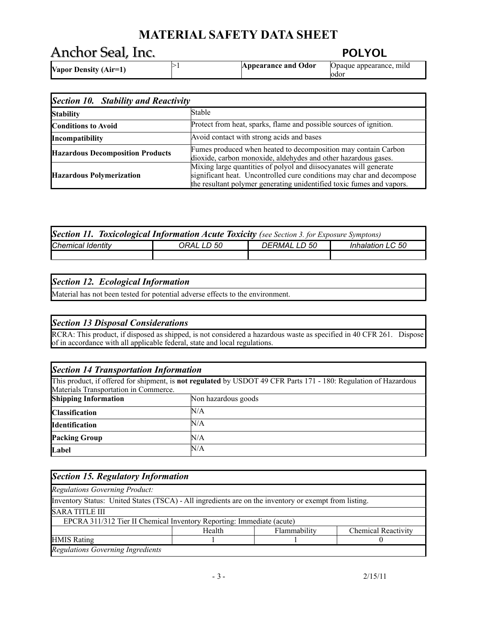# Anchor Seal, Inc. *POLYOL*

| <b>Vapor Density (Air=1)</b> | <b>Appearance and Odor</b> | Opaque appearance, mild<br>lodo' |
|------------------------------|----------------------------|----------------------------------|

| Section 10. Stability and Reactivity                                                                                                                                        |                                                                                                                                                                                                                     |  |  |
|-----------------------------------------------------------------------------------------------------------------------------------------------------------------------------|---------------------------------------------------------------------------------------------------------------------------------------------------------------------------------------------------------------------|--|--|
| <b>Stability</b>                                                                                                                                                            | Stable                                                                                                                                                                                                              |  |  |
| <b>Conditions to Avoid</b>                                                                                                                                                  | Protect from heat, sparks, flame and possible sources of ignition.                                                                                                                                                  |  |  |
| Incompatibility                                                                                                                                                             | Avoid contact with strong acids and bases                                                                                                                                                                           |  |  |
| Fumes produced when heated to decomposition may contain Carbon<br><b>Hazardous Decomposition Products</b><br>dioxide, carbon monoxide, aldehydes and other hazardous gases. |                                                                                                                                                                                                                     |  |  |
| Hazardous Polymerization                                                                                                                                                    | Mixing large quantities of polyol and diisocyanates will generate<br>significant heat. Uncontrolled cure conditions may char and decompose<br>the resultant polymer generating unidentified toxic fumes and vapors. |  |  |

| <b>Section 11. Toxicological Information Acute Toxicity</b> (see Section 3. for Exposure Symptons) |  |  |  |  |
|----------------------------------------------------------------------------------------------------|--|--|--|--|
| <b>Chemical Identity</b><br>Inhalation LC 50<br><i>DERMAL LD 50</i><br>ORAL LD 50                  |  |  |  |  |
|                                                                                                    |  |  |  |  |

## *Section 12. Ecological Information*

Material has not been tested for potential adverse effects to the environment.

## *Section 13 Disposal Considerations*

RCRA: This product, if disposed as shipped, is not considered a hazardous waste as specified in 40 CFR 261. Dispose of in accordance with all applicable federal, state and local regulations.

| <b>Section 14 Transportation Information</b> |                                                                                                                         |  |  |  |
|----------------------------------------------|-------------------------------------------------------------------------------------------------------------------------|--|--|--|
|                                              | This product, if offered for shipment, is <b>not regulated</b> by USDOT 49 CFR Parts 171 - 180: Regulation of Hazardous |  |  |  |
| Materials Transportation in Commerce.        |                                                                                                                         |  |  |  |
| <b>Shipping Information</b>                  | Non hazardous goods                                                                                                     |  |  |  |
| <b>Classification</b>                        | N/A                                                                                                                     |  |  |  |
| N/A<br><b>Identification</b>                 |                                                                                                                         |  |  |  |
| <b>Packing Group</b><br>N/A                  |                                                                                                                         |  |  |  |
| Label                                        | N/A                                                                                                                     |  |  |  |

| Section 15. Regulatory Information                                                                    |        |              |                            |
|-------------------------------------------------------------------------------------------------------|--------|--------------|----------------------------|
| <b>Regulations Governing Product:</b>                                                                 |        |              |                            |
| Inventory Status: United States (TSCA) - All ingredients are on the inventory or exempt from listing. |        |              |                            |
| <b>SARA TITLE III</b>                                                                                 |        |              |                            |
| EPCRA 311/312 Tier II Chemical Inventory Reporting: Immediate (acute)                                 |        |              |                            |
|                                                                                                       | Health | Flammability | <b>Chemical Reactivity</b> |
| <b>HMIS</b> Rating                                                                                    |        |              |                            |
| <b>Regulations Governing Ingredients</b>                                                              |        |              |                            |